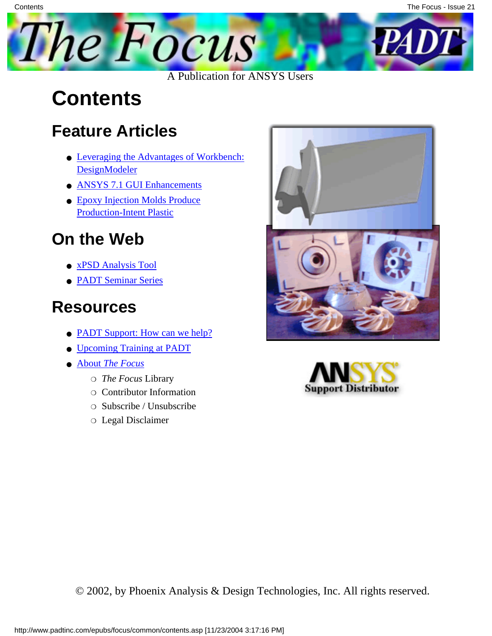

# **Contents**

**Contents** 

#### **Feature Articles**

- [Leveraging the Advantages of Workbench:](#page-1-0) [DesignModeler](#page-1-0)
- [ANSYS 7.1 GUI Enhancements](#page-8-0)
- [Epoxy Injection Molds Produce](#page-14-0) [Production-Intent Plastic](#page-14-0)

#### **On the Web**

- [xPSD Analysis Tool](http://www.padtinc.com/epubs/focus/2003/0021_0912/extra1.htm)
- [PADT Seminar Series](http://www.padtinc.com/epubs/focus/2003/0021_0912/extra2.htm)

#### **Resources**

- [PADT Support: How can we help?](http://www.padtinc.com/support)
- [Upcoming Training at PADT](#page-17-0)
- **About** *[The Focus](#page-18-0)* 
	- ❍ *The Focus* Library
	- ❍ Contributor Information
	- ❍ Subscribe / Unsubscribe
	- ❍ Legal Disclaimer





© 2002, by Phoenix Analysis & Design Technologies, Inc. All rights reserved.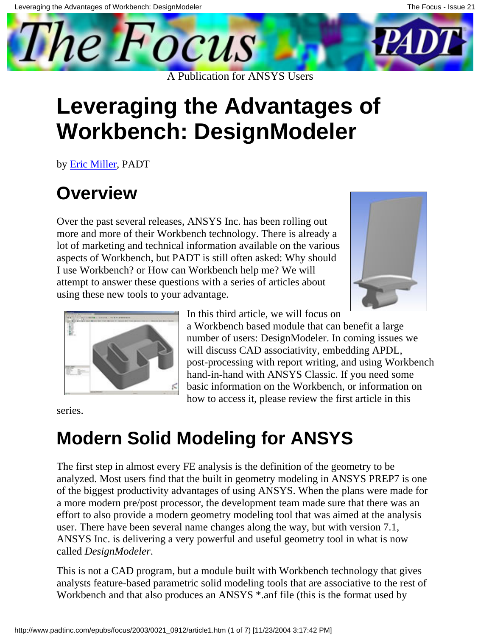<span id="page-1-0"></span>

# **Leveraging the Advantages of Workbench: DesignModeler**

by [Eric Miller](mailto:eric.miller@padtinc.com), PADT

### **Overview**

Over the past several releases, ANSYS Inc. has been rolling out more and more of their Workbench technology. There is already a lot of marketing and technical information available on the various aspects of Workbench, but PADT is still often asked: Why should I use Workbench? or How can Workbench help me? We will attempt to answer these questions with a series of articles about using these new tools to your advantage.





In this third article, we will focus on

a Workbench based module that can benefit a large number of users: DesignModeler. In coming issues we will discuss CAD associativity, embedding APDL, post-processing with report writing, and using Workbench hand-in-hand with ANSYS Classic. If you need some basic information on the Workbench, or information on how to access it, please review the first article in this

series.

# **Modern Solid Modeling for ANSYS**

The first step in almost every FE analysis is the definition of the geometry to be analyzed. Most users find that the built in geometry modeling in ANSYS PREP7 is one of the biggest productivity advantages of using ANSYS. When the plans were made for a more modern pre/post processor, the development team made sure that there was an effort to also provide a modern geometry modeling tool that was aimed at the analysis user. There have been several name changes along the way, but with version 7.1, ANSYS Inc. is delivering a very powerful and useful geometry tool in what is now called *DesignModeler*.

This is not a CAD program, but a module built with Workbench technology that gives analysts feature-based parametric solid modeling tools that are associative to the rest of Workbench and that also produces an ANSYS \*.anf file (this is the format used by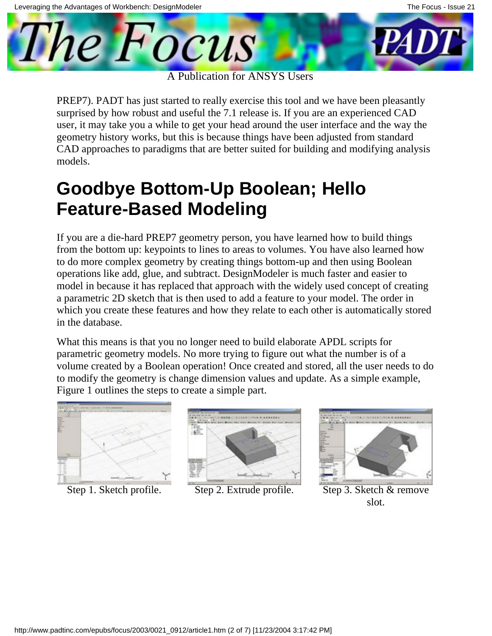

A Publication for ANSYS Users

PREP7). PADT has just started to really exercise this tool and we have been pleasantly surprised by how robust and useful the 7.1 release is. If you are an experienced CAD user, it may take you a while to get your head around the user interface and the way the geometry history works, but this is because things have been adjusted from standard CAD approaches to paradigms that are better suited for building and modifying analysis models.

#### **Goodbye Bottom-Up Boolean; Hello Feature-Based Modeling**

If you are a die-hard PREP7 geometry person, you have learned how to build things from the bottom up: keypoints to lines to areas to volumes. You have also learned how to do more complex geometry by creating things bottom-up and then using Boolean operations like add, glue, and subtract. DesignModeler is much faster and easier to model in because it has replaced that approach with the widely used concept of creating a parametric 2D sketch that is then used to add a feature to your model. The order in which you create these features and how they relate to each other is automatically stored in the database.

What this means is that you no longer need to build elaborate APDL scripts for parametric geometry models. No more trying to figure out what the number is of a volume created by a Boolean operation! Once created and stored, all the user needs to do to modify the geometry is change dimension values and update. As a simple example, Figure 1 outlines the steps to create a simple part.





Step 1. Sketch profile. Step 2. Extrude profile. Step 3. Sketch & remove



slot.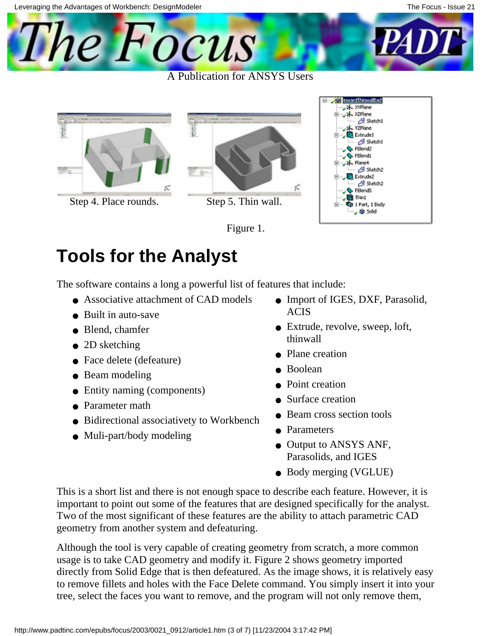Leveraging the Advantages of Workbench: DesignModeler



A Publication for ANSYS Users



Step 4. Place rounds. Step 5. Thin wall.







# **Tools for the Analyst**

The software contains a long a powerful list of features that include:

- Associative attachment of CAD models
- Built in auto-save
- Blend, chamfer
- 2D sketching
- Face delete (defeature)
- Beam modeling
- Entity naming (components)
- Parameter math
- Bidirectional associativety to Workbench
- Muli-part/body modeling
- Import of IGES, DXF, Parasolid, ACIS
- Extrude, revolve, sweep, loft, thinwall
- Plane creation
- Boolean
- Point creation
- Surface creation
- Beam cross section tools
- Parameters
- Output to ANSYS ANF, Parasolids, and IGES
- Body merging (VGLUE)

This is a short list and there is not enough space to describe each feature. However, it is important to point out some of the features that are designed specifically for the analyst. Two of the most significant of these features are the ability to attach parametric CAD geometry from another system and defeaturing.

Although the tool is very capable of creating geometry from scratch, a more common usage is to take CAD geometry and modify it. Figure 2 shows geometry imported directly from Solid Edge that is then defeatured. As the image shows, it is relatively easy to remove fillets and holes with the Face Delete command. You simply insert it into your tree, select the faces you want to remove, and the program will not only remove them,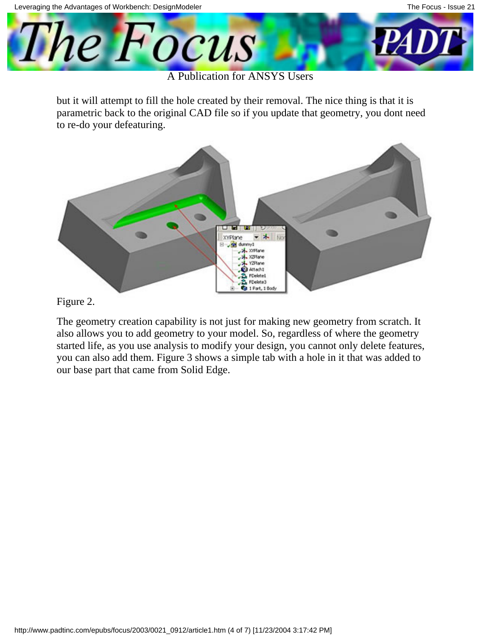

A Publication for ANSYS Users

but it will attempt to fill the hole created by their removal. The nice thing is that it is parametric back to the original CAD file so if you update that geometry, you dont need to re-do your defeaturing.



Figure 2.

The geometry creation capability is not just for making new geometry from scratch. It also allows you to add geometry to your model. So, regardless of where the geometry started life, as you use analysis to modify your design, you cannot only delete features, you can also add them. Figure 3 shows a simple tab with a hole in it that was added to our base part that came from Solid Edge.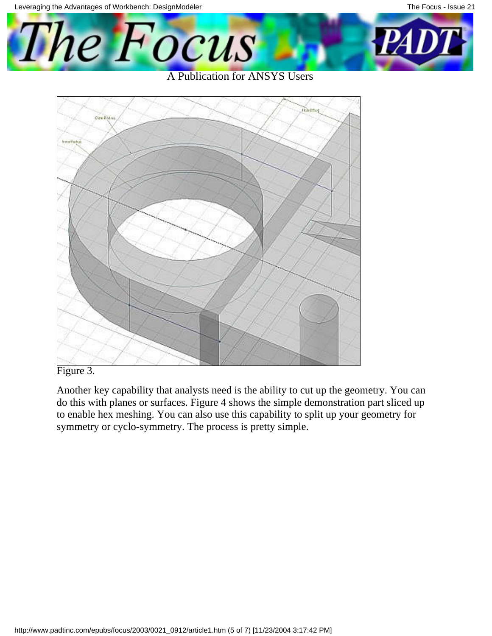



#### Figure 3.

Another key capability that analysts need is the ability to cut up the geometry. You can do this with planes or surfaces. Figure 4 shows the simple demonstration part sliced up to enable hex meshing. You can also use this capability to split up your geometry for symmetry or cyclo-symmetry. The process is pretty simple.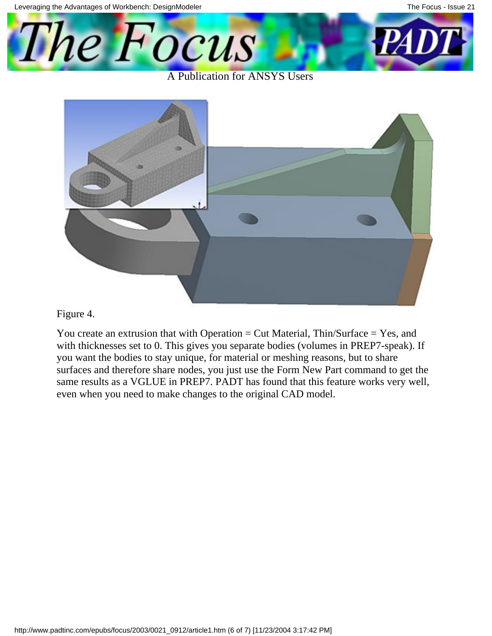

#### A Publication for ANSYS Users



Figure 4.

You create an extrusion that with Operation = Cut Material, Thin/Surface = Yes, and with thicknesses set to 0. This gives you separate bodies (volumes in PREP7-speak). If you want the bodies to stay unique, for material or meshing reasons, but to share surfaces and therefore share nodes, you just use the Form New Part command to get the same results as a VGLUE in PREP7. PADT has found that this feature works very well, even when you need to make changes to the original CAD model.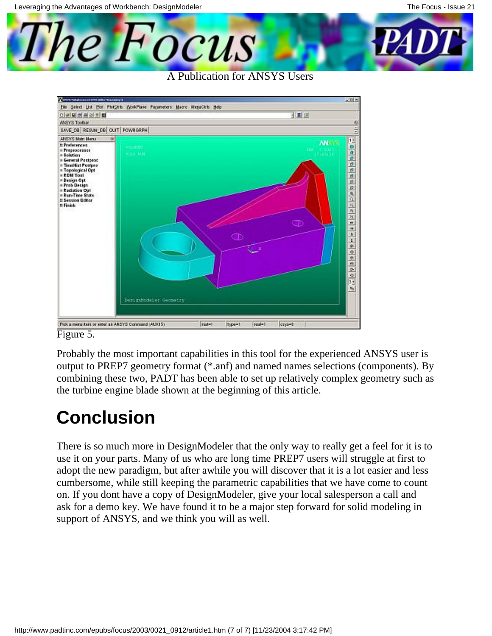

A Publication for ANSYS Users



#### Figure 5.

Probably the most important capabilities in this tool for the experienced ANSYS user is output to PREP7 geometry format (\*.anf) and named names selections (components). By combining these two, PADT has been able to set up relatively complex geometry such as the turbine engine blade shown at the beginning of this article.

#### **Conclusion**

There is so much more in DesignModeler that the only way to really get a feel for it is to use it on your parts. Many of us who are long time PREP7 users will struggle at first to adopt the new paradigm, but after awhile you will discover that it is a lot easier and less cumbersome, while still keeping the parametric capabilities that we have come to count on. If you dont have a copy of DesignModeler, give your local salesperson a call and ask for a demo key. We have found it to be a major step forward for solid modeling in support of ANSYS, and we think you will as well.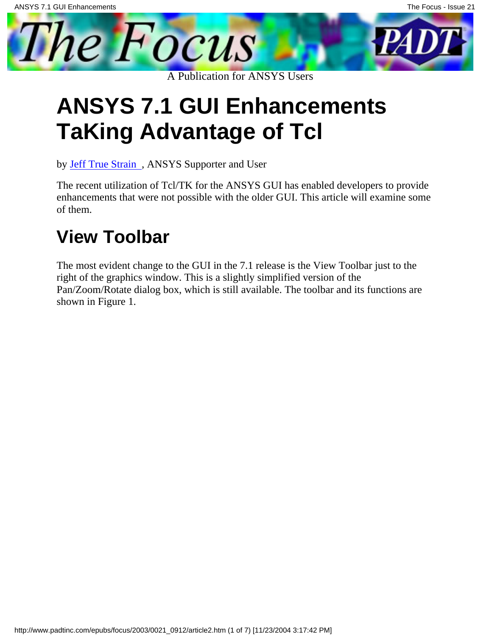<span id="page-8-0"></span>

# **ANSYS 7.1 GUI Enhancements TaKing Advantage of Tcl**

by [Jeff True Strain](mailto:jeff.strain@padtinc.com), ANSYS Supporter and User

The recent utilization of Tcl/TK for the ANSYS GUI has enabled developers to provide enhancements that were not possible with the older GUI. This article will examine some of them.

### **View Toolbar**

The most evident change to the GUI in the 7.1 release is the View Toolbar just to the right of the graphics window. This is a slightly simplified version of the Pan/Zoom/Rotate dialog box, which is still available. The toolbar and its functions are shown in Figure 1.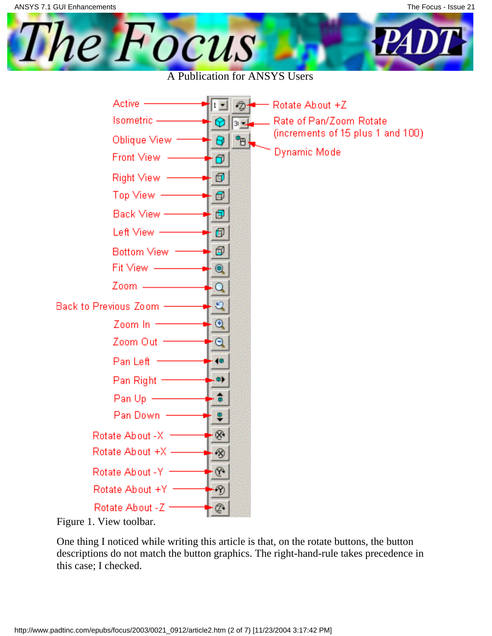

Figure 1. View toolbar.

One thing I noticed while writing this article is that, on the rotate buttons, the button descriptions do not match the button graphics. The right-hand-rule takes precedence in this case; I checked.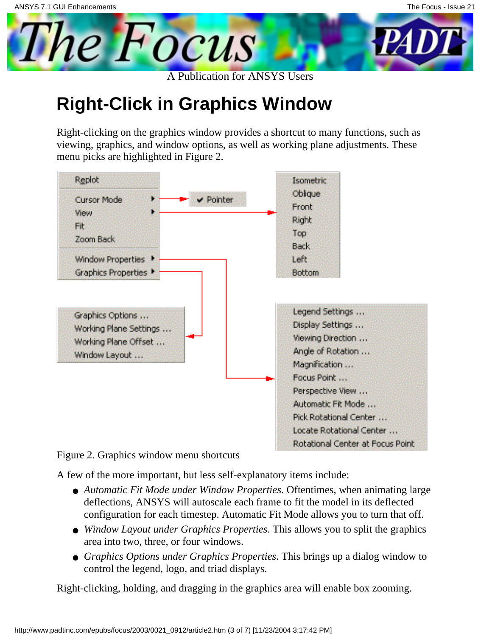

#### **Right-Click in Graphics Window**

Right-clicking on the graphics window provides a shortcut to many functions, such as viewing, graphics, and window options, as well as working plane adjustments. These menu picks are highlighted in Figure 2.



Figure 2. Graphics window menu shortcuts

A few of the more important, but less self-explanatory items include:

- Automatic Fit Mode under Window Properties. Oftentimes, when animating large deflections, ANSYS will autoscale each frame to fit the model in its deflected configuration for each timestep. Automatic Fit Mode allows you to turn that off.
- *Window Layout under Graphics Properties*. This allows you to split the graphics area into two, three, or four windows.
- Graphics Options under Graphics Properties. This brings up a dialog window to control the legend, logo, and triad displays.

Right-clicking, holding, and dragging in the graphics area will enable box zooming.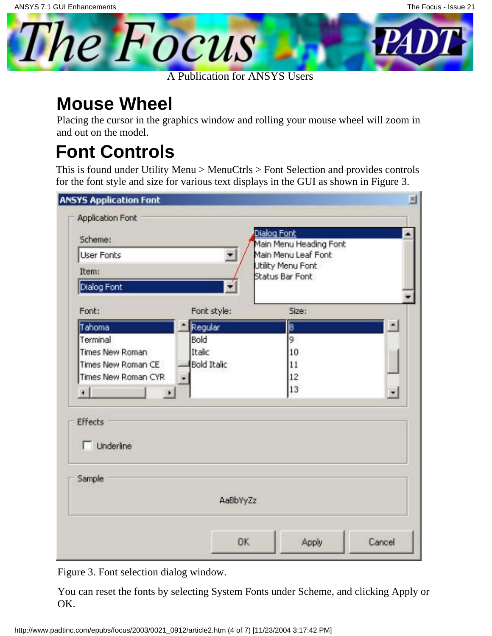

### **Mouse Wheel**

Placing the cursor in the graphics window and rolling your mouse wheel will zoom in and out on the model.

### **Font Controls**

This is found under Utility Menu > MenuCtrls > Font Selection and provides controls for the font style and size for various text displays in the GUI as shown in Figure 3.

| Scheme:                               |                    | Dialog Font                              |                        |  |
|---------------------------------------|--------------------|------------------------------------------|------------------------|--|
|                                       |                    | Main Menu Heading Font                   |                        |  |
| <b>User Fonts</b>                     | ▼                  | Main Menu Leaf Font<br>Utility Menu Font |                        |  |
| Item:                                 |                    | Status Bar Font                          |                        |  |
| Dialog Font                           |                    |                                          |                        |  |
| Font:                                 | Font style:        | Size:                                    |                        |  |
| Tahoma                                | Regular            | 18                                       | $\left  \cdot \right $ |  |
| Terminal                              | Bold               | 9                                        |                        |  |
| Times New Roman                       | Italic             | 10                                       |                        |  |
| Times New Roman CE                    | <b>Bold Italic</b> | 11                                       |                        |  |
| Times New Roman CYR                   |                    | 12                                       |                        |  |
| $\vert$<br>$\blacksquare$             |                    | 13                                       | $\vert \cdot \vert$    |  |
| Effects<br><b>Underline</b><br>Sample |                    |                                          |                        |  |
|                                       | AaBbYyZz           |                                          |                        |  |
|                                       |                    |                                          |                        |  |

Figure 3. Font selection dialog window.

You can reset the fonts by selecting System Fonts under Scheme, and clicking Apply or OK.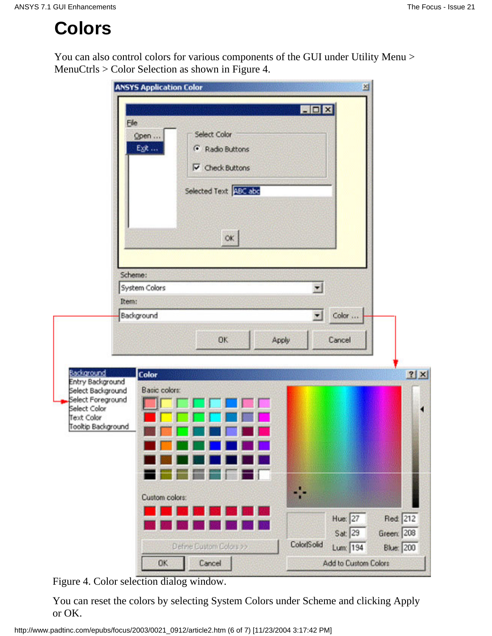### **Colors**

You can also control colors for various components of the GUI under Utility Menu > MenuCtrls > Color Selection as shown in Figure 4.

|                                                  | <b>ANSYS Application Color</b>                                                                                   | ×                                                     |
|--------------------------------------------------|------------------------------------------------------------------------------------------------------------------|-------------------------------------------------------|
|                                                  | FOX<br>Elle<br>Select Color<br>Open<br>Egt<br>C Radio Buttons<br>$\nabla$ Check Buttons<br>Selected Text ABC abc |                                                       |
|                                                  | OK                                                                                                               |                                                       |
|                                                  | Scheme:<br>$\blacktriangledown$<br>System Colors<br>Item:                                                        |                                                       |
|                                                  | Background<br>$\mathbf{r}$                                                                                       | Color                                                 |
|                                                  | <b>OK</b><br>Apply                                                                                               | Cancel                                                |
| Background<br>Entry Background                   | Color                                                                                                            | ? X                                                   |
| Select Background                                | Basic colors:                                                                                                    |                                                       |
| Select Foreground                                |                                                                                                                  |                                                       |
| Select Color<br>Text Color<br>Tooltip Background |                                                                                                                  |                                                       |
|                                                  |                                                                                                                  |                                                       |
|                                                  |                                                                                                                  |                                                       |
|                                                  | Custom colors:                                                                                                   |                                                       |
|                                                  |                                                                                                                  | Red 212<br>Hue: 27                                    |
|                                                  | Color Solid<br>Define Custom Colors >>                                                                           | Green: 208<br>Sat: 29<br><b>Blue: 200</b><br>Lum: 194 |

Figure 4. Color selection dialog window.

You can reset the colors by selecting System Colors under Scheme and clicking Apply or OK.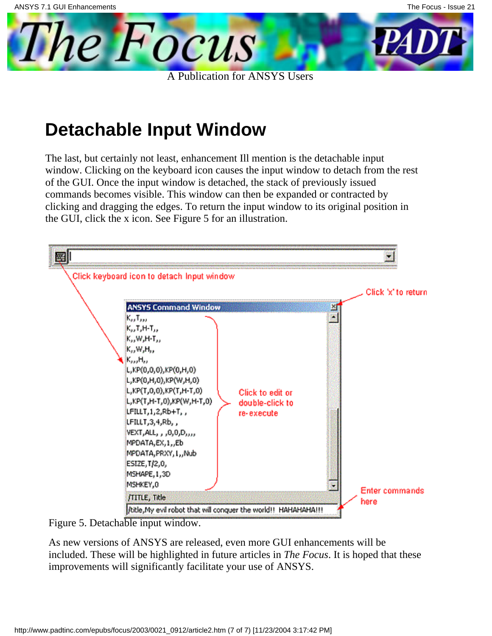

#### **Detachable Input Window**

The last, but certainly not least, enhancement Ill mention is the detachable input window. Clicking on the keyboard icon causes the input window to detach from the rest of the GUI. Once the input window is detached, the stack of previously issued commands becomes visible. This window can then be expanded or contracted by clicking and dragging the edges. To return the input window to its original position in the GUI, click the x icon. See Figure 5 for an illustration.



Figure 5. Detachable input window.

As new versions of ANSYS are released, even more GUI enhancements will be included. These will be highlighted in future articles in *The Focus*. It is hoped that these improvements will significantly facilitate your use of ANSYS.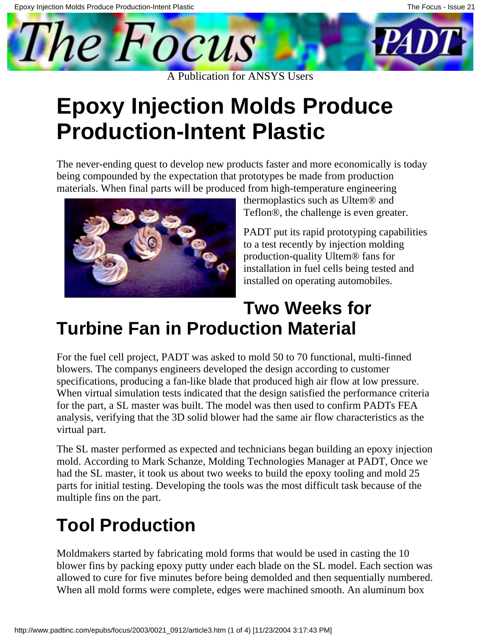<span id="page-14-0"></span>

# **Epoxy Injection Molds Produce Production-Intent Plastic**

The never-ending quest to develop new products faster and more economically is today being compounded by the expectation that prototypes be made from production materials. When final parts will be produced from high-temperature engineering



thermoplastics such as Ultem® and Teflon®, the challenge is even greater.

PADT put its rapid prototyping capabilities to a test recently by injection molding production-quality Ultem® fans for installation in fuel cells being tested and installed on operating automobiles.

#### **Two Weeks for Turbine Fan in Production Material**

For the fuel cell project, PADT was asked to mold 50 to 70 functional, multi-finned blowers. The companys engineers developed the design according to customer specifications, producing a fan-like blade that produced high air flow at low pressure. When virtual simulation tests indicated that the design satisfied the performance criteria for the part, a SL master was built. The model was then used to confirm PADT s FEA analysis, verifying that the 3D solid blower had the same air flow characteristics as the virtual part.

The SL master performed as expected and technicians began building an epoxy injection mold. According to Mark Schanze, Molding Technologies Manager at PADT, Once we had the SL master, it took us about two weeks to build the epoxy tooling and mold 25 parts for initial testing. Developing the tools was the most difficult task because of the multiple fins on the part.

# **Tool Production**

Moldmakers started by fabricating mold forms that would be used in casting the 10 blower fins by packing epoxy putty under each blade on the SL model. Each section was allowed to cure for five minutes before being demolded and then sequentially numbered. When all mold forms were complete, edges were machined smooth. An aluminum box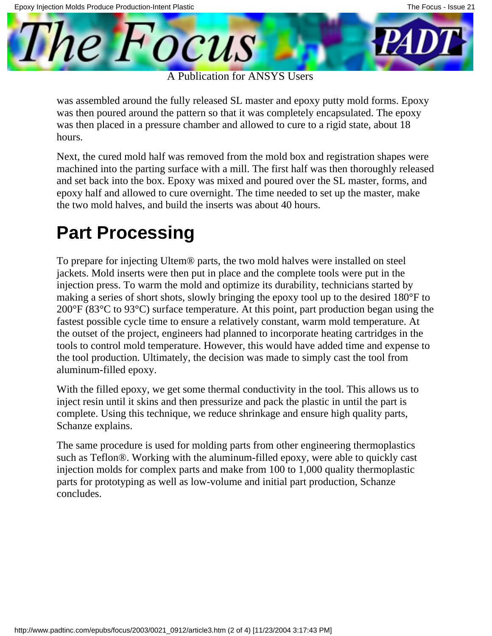The Focus

A Publication for ANSYS Users

was assembled around the fully released SL master and epoxy putty mold forms. Epoxy was then poured around the pattern so that it was completely encapsulated. The epoxy was then placed in a pressure chamber and allowed to cure to a rigid state, about 18 hours.

Next, the cured mold half was removed from the mold box and registration shapes were machined into the parting surface with a mill. The first half was then thoroughly released and set back into the box. Epoxy was mixed and poured over the SL master, forms, and epoxy half and allowed to cure overnight. The time needed to set up the master, make the two mold halves, and build the inserts was about 40 hours.

## **Part Processing**

To prepare for injecting Ultem® parts, the two mold halves were installed on steel jackets. Mold inserts were then put in place and the complete tools were put in the injection press. To warm the mold and optimize its durability, technicians started by making a series of short shots, slowly bringing the epoxy tool up to the desired 180°F to 200°F (83°C to 93°C) surface temperature. At this point, part production began using the fastest possible cycle time to ensure a relatively constant, warm mold temperature. At the outset of the project, engineers had planned to incorporate heating cartridges in the tools to control mold temperature. However, this would have added time and expense to the tool production. Ultimately, the decision was made to simply cast the tool from aluminum-filled epoxy.

With the filled epoxy, we get some thermal conductivity in the tool. This allows us to inject resin until it skins and then pressurize and pack the plastic in until the part is complete. Using this technique, we reduce shrinkage and ensure high quality parts, Schanze explains.

The same procedure is used for molding parts from other engineering thermoplastics such as Teflon®. Working with the aluminum-filled epoxy, we re able to quickly cast injection molds for complex parts and make from 100 to 1,000 quality thermoplastic parts for prototyping as well as low-volume and initial part production, Schanze concludes.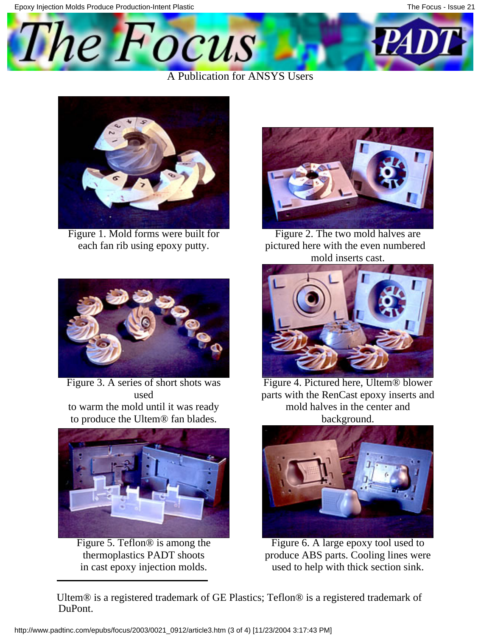

#### A Publication for ANSYS Users



Figure 1. Mold forms were built for each fan rib using epoxy putty.



Figure 3. A series of short shots was used to warm the mold until it was ready to produce the Ultem® fan blades.



Figure 5. Teflon® is among the thermoplastics PADT shoots in cast epoxy injection molds.



Figure 2. The two mold halves are pictured here with the even numbered mold inserts cast.



Figure 4. Pictured here, Ultem® blower parts with the RenCast epoxy inserts and mold halves in the center and background.



Figure 6. A large epoxy tool used to produce ABS parts. Cooling lines were used to help with thick section sink.

Ultem® is a registered trademark of GE Plastics; Teflon® is a registered trademark of DuPont.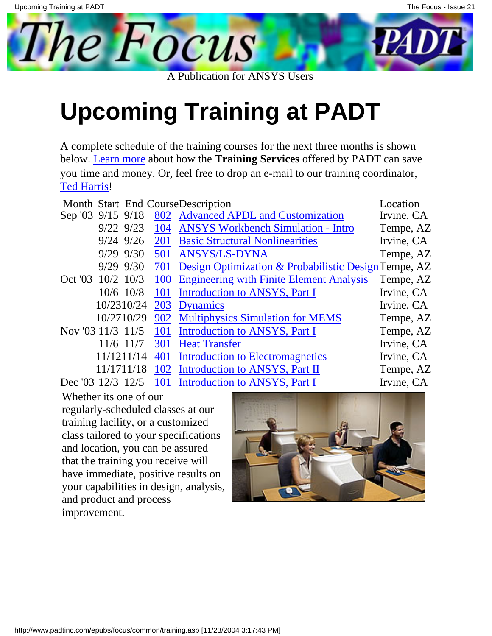<span id="page-17-0"></span>

# **Upcoming Training at PADT**

A complete schedule of the training courses for the next three months is shown below. [Learn more](http://www.padtinc.com/support/training/default.asp) about how the **Training Services** offered by PADT can save you time and money. Or, feel free to drop an e-mail to our training coordinator, [Ted Harris](mailto:ted.harris@padtinc.com)!

|                     |               |             |     | Month Start End CourseDescription                    | Location   |
|---------------------|---------------|-------------|-----|------------------------------------------------------|------------|
| Sep 03              | $9/15$ $9/18$ |             |     | 802 Advanced APDL and Customization                  | Irvine, CA |
|                     | $9/22$ $9/23$ |             | 104 | <b>ANSYS Workbench Simulation - Intro</b>            | Tempe, AZ  |
|                     | $9/24$ $9/26$ |             | 201 | <b>Basic Structural Nonlinearities</b>               | Irvine, CA |
|                     | 9/29 9/30     |             | 501 | <b>ANSYS/LS-DYNA</b>                                 | Tempe, AZ  |
|                     | $9/29$ $9/30$ |             | 701 | Design Optimization & Probabilistic Design Tempe, AZ |            |
| Oct '03             | $10/2$ 10/3   |             | 100 | <b>Engineering with Finite Element Analysis</b>      | Tempe, AZ  |
|                     |               | $10/6$ 10/8 | 101 | Introduction to ANSYS, Part I                        | Irvine, CA |
|                     | 10/2310/24    |             | 203 | <b>Dynamics</b>                                      | Irvine, CA |
|                     | 10/2710/29    |             | 902 | <b>Multiphysics Simulation for MEMS</b>              | Tempe, AZ  |
| Nov '03 $11/3$ 11/5 |               |             | 101 | Introduction to ANSYS, Part I                        | Tempe, AZ  |
|                     | $11/6$ 11/7   |             | 301 | <b>Heat Transfer</b>                                 | Irvine, CA |
|                     | 11/1211/14    |             | 401 | <b>Introduction to Electromagnetics</b>              | Irvine, CA |
|                     | 11/1711/18    |             | 102 | Introduction to ANSYS, Part II                       | Tempe, AZ  |
| Dec '03 12/3        |               | 12/5        | 101 | Introduction to ANSYS, Part I                        | Irvine, CA |

Whether it s one of our regularly-scheduled classes at our training facility, or a customized class tailored to your specifications and location, you can be assured that the training you receive will have immediate, positive results on your capabilities in design, analysis, and product and process improvement.